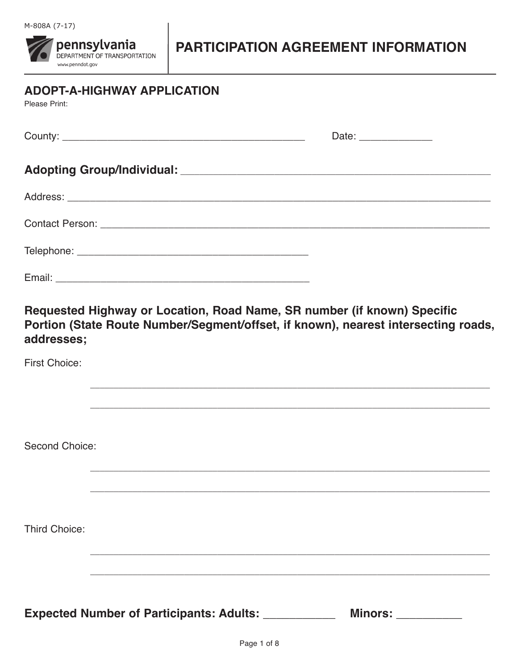**pennsylvania**<br>**DEPARTMENT OF TRANSPORTATION** www.penndot.gov

# PARTICIPATION AGREEMENT INFORMATION

| <b>ADOPT-A-HIGHWAY APPLICATION</b><br>Please Print: |                                                                                                                                                               |
|-----------------------------------------------------|---------------------------------------------------------------------------------------------------------------------------------------------------------------|
|                                                     | Date: _______________                                                                                                                                         |
|                                                     |                                                                                                                                                               |
|                                                     |                                                                                                                                                               |
|                                                     |                                                                                                                                                               |
|                                                     |                                                                                                                                                               |
|                                                     |                                                                                                                                                               |
| addresses;                                          | Requested Highway or Location, Road Name, SR number (if known) Specific<br>Portion (State Route Number/Segment/offset, if known), nearest intersecting roads, |
| <b>First Choice:</b>                                |                                                                                                                                                               |
|                                                     | <u> 1989 - Johann Stoff, deutscher Stoff, der Stoff, der Stoff, der Stoff, der Stoff, der Stoff, der Stoff, der S</u>                                         |
|                                                     |                                                                                                                                                               |
| Second Choice:                                      |                                                                                                                                                               |
|                                                     |                                                                                                                                                               |
|                                                     |                                                                                                                                                               |
| <b>Third Choice:</b>                                |                                                                                                                                                               |
|                                                     |                                                                                                                                                               |
|                                                     |                                                                                                                                                               |
| <b>Expected Number of Participants: Adults:</b>     | <b>Minors:</b>                                                                                                                                                |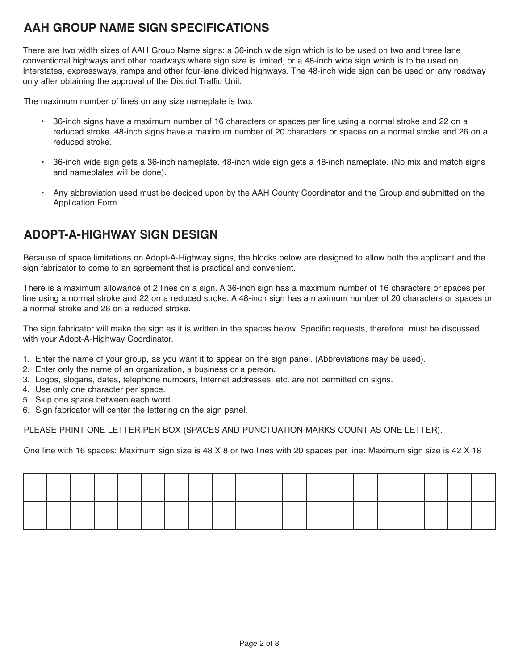# **AAH GROUP NAME SIGN SPECIFICATIONS**

There are two width sizes of AAH Group Name signs: a 36-inch wide sign which is to be used on two and three lane conventional highways and other roadways where sign size is limited, or a 48-inch wide sign which is to be used on Interstates, expressways, ramps and other four-lane divided highways. The 48-inch wide sign can be used on any roadway only after obtaining the approval of the District Traffic Unit.

The maximum number of lines on any size nameplate is two.

- 36-inch signs have a maximum number of 16 characters or spaces per line using a normal stroke and 22 on a reduced stroke. 48-inch signs have a maximum number of 20 characters or spaces on a normal stroke and 26 on a reduced stroke.
- 36-inch wide sign gets a 36-inch nameplate. 48-inch wide sign gets a 48-inch nameplate. (No mix and match signs and nameplates will be done).
- Any abbreviation used must be decided upon by the AAH County Coordinator and the Group and submitted on the Application Form.

# **ADOPT-A-HIGHWAY SIGN DESIGN**

Because of space limitations on Adopt-A-Highway signs, the blocks below are designed to allow both the applicant and the sign fabricator to come to an agreement that is practical and convenient.

There is a maximum allowance of 2 lines on a sign. A 36-inch sign has a maximum number of 16 characters or spaces per line using a normal stroke and 22 on a reduced stroke. A 48-inch sign has a maximum number of 20 characters or spaces on a normal stroke and 26 on a reduced stroke.

The sign fabricator will make the sign as it is written in the spaces below. Specific requests, therefore, must be discussed with your Adopt-A-Highway Coordinator.

- 1. Enter the name of your group, as you want it to appear on the sign panel. (Abbreviations may be used).
- 2. Enter only the name of an organization, a business or a person.
- 3. Logos, slogans, dates, telephone numbers, Internet addresses, etc. are not permitted on signs.
- 4. Use only one character per space.
- 5. Skip one space between each word.
- 6. Sign fabricator will center the lettering on the sign panel.

PLEASE PRINT ONE LETTER PER BOX (SPACES AND PUNCTUATION MARKS COUNT AS ONE LETTER).

One line with 16 spaces: Maximum sign size is 48 X 8 or two lines with 20 spaces per line: Maximum sign size is 42 X 18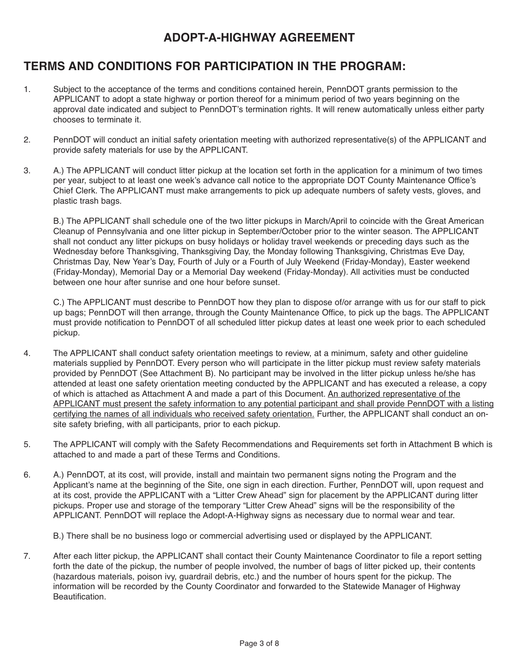# **ADOPT-A-HIGHWAY AGREEMENT**

# **TERMS AND CONDITIONS FOR PARTICIPATION IN THE PROGRAM:**

- 1. Subject to the acceptance of the terms and conditions contained herein, PennDOT grants permission to the APPLICANT to adopt a state highway or portion thereof for a minimum period of two years beginning on the approval date indicated and subject to PennDOT's termination rights. It will renew automatically unless either party chooses to terminate it.
- 2. PennDOT will conduct an initial safety orientation meeting with authorized representative(s) of the APPLICANT and provide safety materials for use by the APPLICANT.
- 3. A.) The APPLICANT will conduct litter pickup at the location set forth in the application for a minimum of two times per year, subject to at least one week's advance call notice to the appropriate DOT County Maintenance Office's Chief Clerk. The APPLICANT must make arrangements to pick up adequate numbers of safety vests, gloves, and plastic trash bags.

B.) The APPLICANT shall schedule one of the two litter pickups in March/April to coincide with the Great American Cleanup of Pennsylvania and one litter pickup in September/October prior to the winter season. The APPLICANT shall not conduct any litter pickups on busy holidays or holiday travel weekends or preceding days such as the Wednesday before Thanksgiving, Thanksgiving Day, the Monday following Thanksgiving, Christmas Eve Day, Christmas Day, New Year's Day, Fourth of July or a Fourth of July Weekend (Friday-Monday), Easter weekend (Friday-Monday), Memorial Day or a Memorial Day weekend (Friday-Monday). All activities must be conducted between one hour after sunrise and one hour before sunset.

C.) The APPLICANT must describe to PennDOT how they plan to dispose of/or arrange with us for our staff to pick up bags; PennDOT will then arrange, through the County Maintenance Office, to pick up the bags. The APPLICANT must provide notification to PennDOT of all scheduled litter pickup dates at least one week prior to each scheduled pickup.

- 4. The APPLICANT shall conduct safety orientation meetings to review, at a minimum, safety and other guideline materials supplied by PennDOT. Every person who will participate in the litter pickup must review safety materials provided by PennDOT (See Attachment B). No participant may be involved in the litter pickup unless he/she has attended at least one safety orientation meeting conducted by the APPLICANT and has executed a release, a copy of which is attached as Attachment A and made a part of this Document. An authorized representative of the APPLICANT must present the safety information to any potential participant and shall provide PennDOT with a listing certifying the names of all individuals who received safety orientation. Further, the APPLICANT shall conduct an onsite safety briefing, with all participants, prior to each pickup.
- 5. The APPLICANT will comply with the Safety Recommendations and Requirements set forth in Attachment B which is attached to and made a part of these Terms and Conditions.
- 6. A.) PennDOT, at its cost, will provide, install and maintain two permanent signs noting the Program and the Applicant's name at the beginning of the Site, one sign in each direction. Further, PennDOT will, upon request and at its cost, provide the APPLICANT with a "Litter Crew Ahead" sign for placement by the APPLICANT during litter pickups. Proper use and storage of the temporary "Litter Crew Ahead" signs will be the responsibility of the APPLICANT. PennDOT will replace the Adopt-A-Highway signs as necessary due to normal wear and tear.

B.) There shall be no business logo or commercial advertising used or displayed by the APPLICANT.

7. After each litter pickup, the APPLICANT shall contact their County Maintenance Coordinator to file a report setting forth the date of the pickup, the number of people involved, the number of bags of litter picked up, their contents (hazardous materials, poison ivy, guardrail debris, etc.) and the number of hours spent for the pickup. The information will be recorded by the County Coordinator and forwarded to the Statewide Manager of Highway Beautification.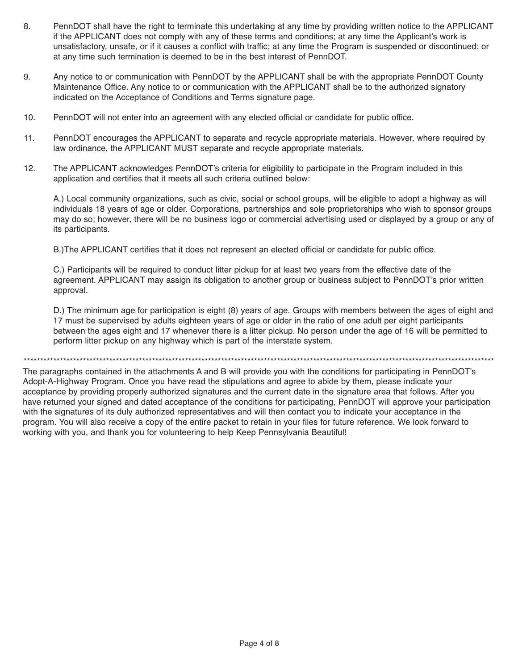- 8. PennDOT shall have the right to terminate this undertaking at any time by providing written notice to the APPLICANT if the APPLICANT does not comply with any of these terms and conditions; at any time the Applicant's work is unsatisfactory, unsafe, or if it causes a conflict with traffic; at any time the Program is suspended or discontinued; or at any time such termination is deemed to be in the best interest of PennDOT.
- 9. Any notice to or communication with PennDOT by the APPLICANT shall be with the appropriate PennDOT County Maintenance Office. Any notice to or communication with the APPLICANT shall be to the authorized signatory indicated on the Acceptance of Conditions and Terms signature page.
- 10. PennDOT will not enter into an agreement with any elected official or candidate for public office.
- 11. PennDOT encourages the APPLICANT to separate and recycle appropriate materials. However, where required by law ordinance, the APPLICANT MUST separate and recycle appropriate materials.
- 12. The APPLICANT acknowledges PennDOT's criteria for eligibility to participate in the Program included in this application and certifies that it meets all such criteria outlined below:

A.) Local community organizations, such as civic, social or school groups, will be eligible to adopt a highway as will individuals 18 years of age or older. Corporations, partnerships and sole proprietorships who wish to sponsor groups may do so; however, there will be no business logo or commercial advertising used or displayed by a group or any of its participants.

B.)The APPLICANT certifies that it does not represent an elected official or candidate for public office.

C.) Participants will be required to conduct litter pickup for at least two years from the effective date of the agreement. APPLICANT may assign its obligation to another group or business subject to PennDOT's prior written approval.

D.) The minimum age for participation is eight (8) years of age. Groups with members between the ages of eight and 17 must be supervised by adults eighteen years of age or older in the ratio of one adult per eight participants between the ages eight and 17 whenever there is a litter pickup. No person under the age of 16 will be permitted to perform litter pickup on any highway which is part of the interstate system.

\*\*\*\*\*\*\*\*\*\*\*\*\*\*\*\*\*\*\*\*\*\*\*\*\*\*\*\*\*\*\*\*\*\*\*\*\*\*\*\*\*\*\*\*\*\*\*\*\*\*\*\*\*\*\*\*\*\*\*\*\*\*\*\*\*\*\*\*\*\*\*\*\*\*\*\*\*\*\*\*\*\*\*\*\*\*\*\*\*\*\*\*\*\*\*\*\*\*\*\*\*\*\*\*\*\*\*\*\*\*\*\*\*\*\*\*\*\*\*\*\*\*\*\*\*\*\*\*\*\*\*\*\*\*\*\*\*\*\*\*\*\*\*

The paragraphs contained in the attachments A and B will provide you with the conditions for participating in PennDOT's Adopt-A-Highway Program. Once you have read the stipulations and agree to abide by them, please indicate your acceptance by providing properly authorized signatures and the current date in the signature area that follows. After you have returned your signed and dated acceptance of the conditions for participating, PennDOT will approve your participation with the signatures of its duly authorized representatives and will then contact you to indicate your acceptance in the program. You will also receive a copy of the entire packet to retain in your files for future reference. We look forward to working with you, and thank you for volunteering to help Keep Pennsylvania Beautiful!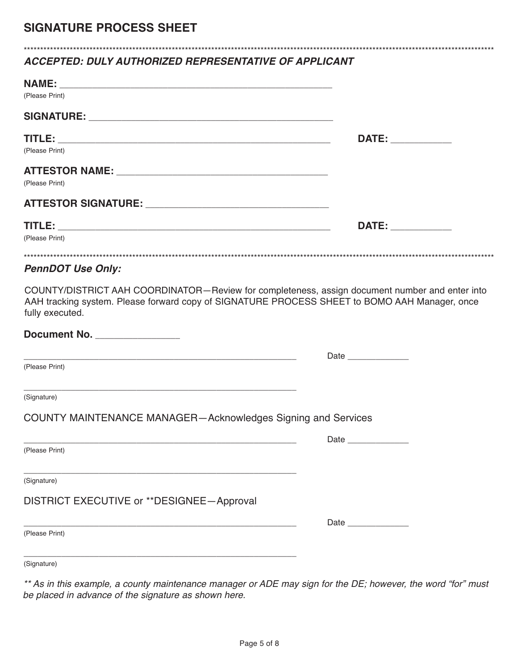### *ACCEPTED: DULY AUTHORIZED REPRESENTATIVE OF APPLICANT*

| (Please Print)                                                                                                                                                                                                     |                                                                                                                                                                                                                                |
|--------------------------------------------------------------------------------------------------------------------------------------------------------------------------------------------------------------------|--------------------------------------------------------------------------------------------------------------------------------------------------------------------------------------------------------------------------------|
|                                                                                                                                                                                                                    |                                                                                                                                                                                                                                |
|                                                                                                                                                                                                                    | DATE: the contract of the contract of the contract of the contract of the contract of the contract of the contract of the contract of the contract of the contract of the contract of the contract of the contract of the cont |
| (Please Print)                                                                                                                                                                                                     |                                                                                                                                                                                                                                |
|                                                                                                                                                                                                                    |                                                                                                                                                                                                                                |
| (Please Print)                                                                                                                                                                                                     |                                                                                                                                                                                                                                |
|                                                                                                                                                                                                                    |                                                                                                                                                                                                                                |
|                                                                                                                                                                                                                    | DATE: ____________                                                                                                                                                                                                             |
| (Please Print)                                                                                                                                                                                                     |                                                                                                                                                                                                                                |
| <b>PennDOT Use Only:</b>                                                                                                                                                                                           |                                                                                                                                                                                                                                |
| COUNTY/DISTRICT AAH COORDINATOR-Review for completeness, assign document number and enter into<br>AAH tracking system. Please forward copy of SIGNATURE PROCESS SHEET to BOMO AAH Manager, once<br>fully executed. |                                                                                                                                                                                                                                |
|                                                                                                                                                                                                                    |                                                                                                                                                                                                                                |
| <u> 1989 - Johann John Stone, market fan de Fryske kunstne fan de fan de Fryske kunstne fan de fan de fan de fan</u>                                                                                               | Date                                                                                                                                                                                                                           |
| (Please Print)                                                                                                                                                                                                     |                                                                                                                                                                                                                                |
| (Signature)                                                                                                                                                                                                        |                                                                                                                                                                                                                                |
| <b>COUNTY MAINTENANCE MANAGER-Acknowledges Signing and Services</b>                                                                                                                                                |                                                                                                                                                                                                                                |
| <u> 1989 - Johann John Stone, markin film ar yn y brenin y brenin y brenin y brenin y brenin y brenin y brenin y</u><br>(Please Print)                                                                             | Date ________________                                                                                                                                                                                                          |
|                                                                                                                                                                                                                    |                                                                                                                                                                                                                                |
| (Signature)                                                                                                                                                                                                        |                                                                                                                                                                                                                                |
| DISTRICT EXECUTIVE or **DESIGNEE-Approval                                                                                                                                                                          |                                                                                                                                                                                                                                |
|                                                                                                                                                                                                                    |                                                                                                                                                                                                                                |
| (Please Print)                                                                                                                                                                                                     |                                                                                                                                                                                                                                |
| (Signature)                                                                                                                                                                                                        |                                                                                                                                                                                                                                |

\*\*\*\*\*\*\*\*\*\*\*\*\*\*\*\*\*\*\*\*\*\*\*\*\*\*\*\*\*\*\*\*\*\*\*\*\*\*\*\*\*\*\*\*\*\*\*\*\*\*\*\*\*\*\*\*\*\*\*\*\*\*\*\*\*\*\*\*\*\*\*\*\*\*\*\*\*\*\*\*\*\*\*\*\*\*\*\*\*\*\*\*\*\*\*\*\*\*\*\*\*\*\*\*\*\*\*\*\*\*\*\*\*\*\*\*\*\*\*\*\*\*\*\*\*\*\*\*\*\*\*\*\*\*\*\*\*\*\*\*\*\*\*

*\*\* As in this example, a county maintenance manager or ADE may sign for the DE; however, the word "for" must be placed in advance of the signature as shown here.*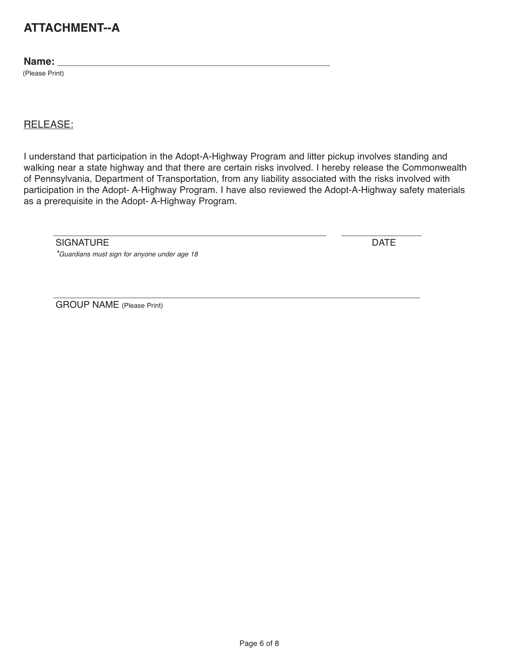# **ATTACHMENT--A**

#### **Name:** \_\_\_\_\_\_\_\_\_\_\_\_\_\_\_\_\_\_\_\_\_\_\_\_\_\_\_\_\_\_\_\_\_\_\_\_\_\_\_\_\_\_\_\_\_\_\_\_\_\_\_\_\_\_\_\_\_\_

(Please Print)

#### RELEASE:

I understand that participation in the Adopt-A-Highway Program and litter pickup involves standing and walking near a state highway and that there are certain risks involved. I hereby release the Commonwealth of Pennsylvania, Department of Transportation, from any liability associated with the risks involved with participation in the Adopt- A-Highway Program. I have also reviewed the Adopt-A-Highway safety materials as a prerequisite in the Adopt- A-Highway Program.

\_\_\_\_\_\_\_\_\_\_\_\_\_\_\_\_\_\_\_\_\_\_\_\_\_\_\_\_\_\_\_\_\_\_\_\_\_\_\_\_\_\_\_\_\_\_\_\_\_\_\_\_\_\_\_\_\_\_\_\_\_\_\_\_\_\_\_\_\_\_\_\_\_\_\_\_\_\_

SIGNATURE **DATE** 

*\*Guardians must sign for anyone under age 18*

\_\_\_\_\_\_\_\_\_\_\_\_\_\_\_\_\_\_\_\_\_\_\_\_\_\_\_\_\_\_\_\_\_\_\_\_\_\_\_\_\_\_\_\_\_\_\_\_\_\_\_\_\_\_\_\_\_\_ \_\_\_\_\_\_\_\_\_\_\_\_\_\_\_\_\_

GROUP NAME (Please Print)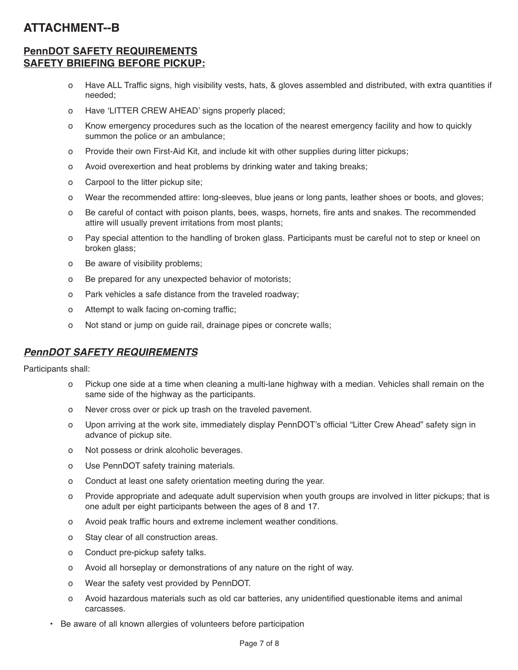# **ATTACHMENT--B**

#### **PennDOT SAFETY REQUIREMENTS SAFETY BRIEFING BEFORE PICKUP:**

- o Have ALL Traffic signs, high visibility vests, hats, & gloves assembled and distributed, with extra quantities if needed;
- o Have 'LITTER CREW AHEAD' signs properly placed;
- o Know emergency procedures such as the location of the nearest emergency facility and how to quickly summon the police or an ambulance;
- o Provide their own First-Aid Kit, and include kit with other supplies during litter pickups;
- o Avoid overexertion and heat problems by drinking water and taking breaks;
- o Carpool to the litter pickup site;
- o Wear the recommended attire: long-sleeves, blue jeans or long pants, leather shoes or boots, and gloves;
- o Be careful of contact with poison plants, bees, wasps, hornets, fire ants and snakes. The recommended attire will usually prevent irritations from most plants;
- o Pay special attention to the handling of broken glass. Participants must be careful not to step or kneel on broken glass;
- o Be aware of visibility problems;
- o Be prepared for any unexpected behavior of motorists;
- o Park vehicles a safe distance from the traveled roadway;
- o Attempt to walk facing on-coming traffic;
- o Not stand or jump on guide rail, drainage pipes or concrete walls;

#### *PennDOT SAFETY REQUIREMENTS*

Participants shall:

- o Pickup one side at a time when cleaning a multi-lane highway with a median. Vehicles shall remain on the same side of the highway as the participants.
- o Never cross over or pick up trash on the traveled pavement.
- o Upon arriving at the work site, immediately display PennDOT's official "Litter Crew Ahead" safety sign in advance of pickup site.
- o Not possess or drink alcoholic beverages.
- o Use PennDOT safety training materials.
- o Conduct at least one safety orientation meeting during the year.
- o Provide appropriate and adequate adult supervision when youth groups are involved in litter pickups; that is one adult per eight participants between the ages of 8 and 17.
- o Avoid peak traffic hours and extreme inclement weather conditions.
- o Stay clear of all construction areas.
- o Conduct pre-pickup safety talks.
- o Avoid all horseplay or demonstrations of any nature on the right of way.
- o Wear the safety vest provided by PennDOT.
- o Avoid hazardous materials such as old car batteries, any unidentified questionable items and animal carcasses.
- Be aware of all known allergies of volunteers before participation